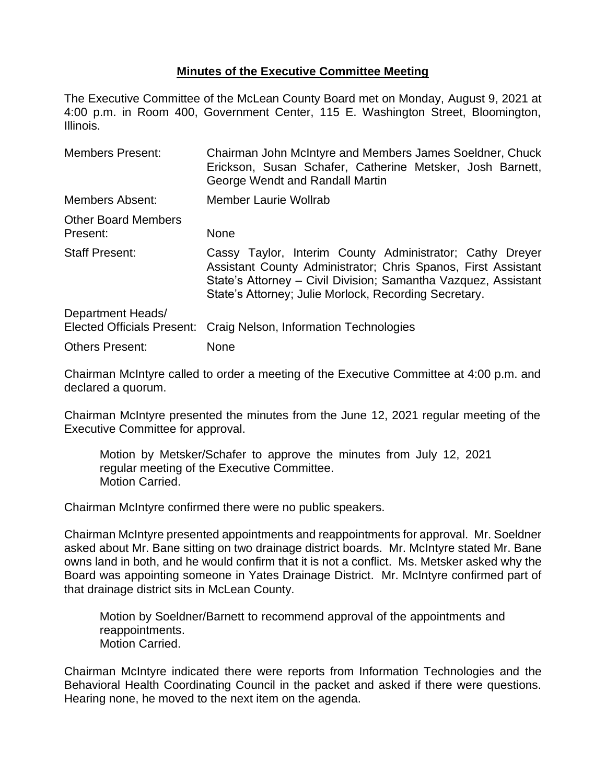## **Minutes of the Executive Committee Meeting**

The Executive Committee of the McLean County Board met on Monday, August 9, 2021 at 4:00 p.m. in Room 400, Government Center, 115 E. Washington Street, Bloomington, Illinois.

| <b>Members Present:</b>                                | Chairman John McIntyre and Members James Soeldner, Chuck<br>Erickson, Susan Schafer, Catherine Metsker, Josh Barnett,<br>George Wendt and Randall Martin                                                                                             |
|--------------------------------------------------------|------------------------------------------------------------------------------------------------------------------------------------------------------------------------------------------------------------------------------------------------------|
| Members Absent:                                        | Member Laurie Wollrab                                                                                                                                                                                                                                |
| <b>Other Board Members</b><br>Present:                 | <b>None</b>                                                                                                                                                                                                                                          |
| <b>Staff Present:</b>                                  | Cassy Taylor, Interim County Administrator; Cathy Dreyer<br>Assistant County Administrator; Chris Spanos, First Assistant<br>State's Attorney - Civil Division; Samantha Vazquez, Assistant<br>State's Attorney; Julie Morlock, Recording Secretary. |
| Department Heads/<br><b>Elected Officials Present:</b> | Craig Nelson, Information Technologies                                                                                                                                                                                                               |
| <b>Others Present:</b>                                 | None                                                                                                                                                                                                                                                 |

Chairman McIntyre called to order a meeting of the Executive Committee at 4:00 p.m. and declared a quorum.

Chairman McIntyre presented the minutes from the June 12, 2021 regular meeting of the Executive Committee for approval.

Motion by Metsker/Schafer to approve the minutes from July 12, 2021 regular meeting of the Executive Committee. Motion Carried.

Chairman McIntyre confirmed there were no public speakers.

Chairman McIntyre presented appointments and reappointments for approval. Mr. Soeldner asked about Mr. Bane sitting on two drainage district boards. Mr. McIntyre stated Mr. Bane owns land in both, and he would confirm that it is not a conflict. Ms. Metsker asked why the Board was appointing someone in Yates Drainage District. Mr. McIntyre confirmed part of that drainage district sits in McLean County.

Motion by Soeldner/Barnett to recommend approval of the appointments and reappointments. Motion Carried.

Chairman McIntyre indicated there were reports from Information Technologies and the Behavioral Health Coordinating Council in the packet and asked if there were questions. Hearing none, he moved to the next item on the agenda.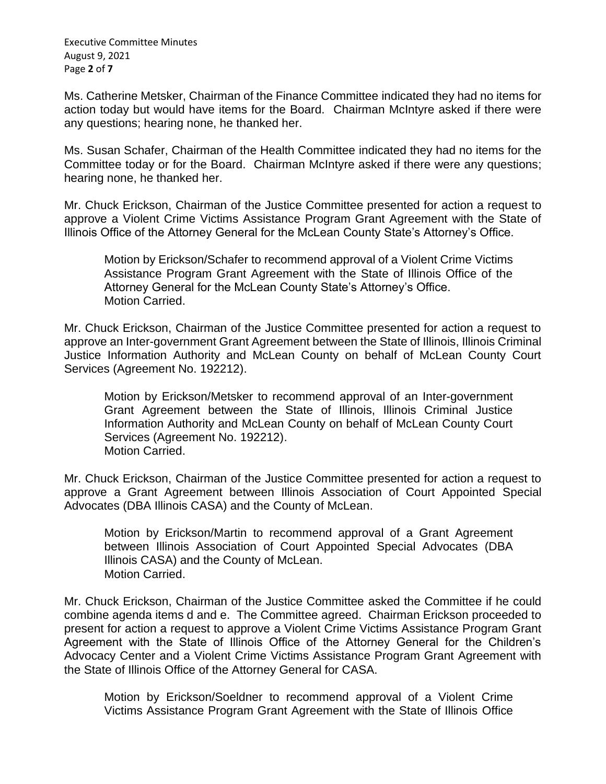Executive Committee Minutes August 9, 2021 Page **2** of **7**

Ms. Catherine Metsker, Chairman of the Finance Committee indicated they had no items for action today but would have items for the Board. Chairman McIntyre asked if there were any questions; hearing none, he thanked her.

Ms. Susan Schafer, Chairman of the Health Committee indicated they had no items for the Committee today or for the Board. Chairman McIntyre asked if there were any questions; hearing none, he thanked her.

Mr. Chuck Erickson, Chairman of the Justice Committee presented for action a request to approve a Violent Crime Victims Assistance Program Grant Agreement with the State of Illinois Office of the Attorney General for the McLean County State's Attorney's Office.

Motion by Erickson/Schafer to recommend approval of a Violent Crime Victims Assistance Program Grant Agreement with the State of Illinois Office of the Attorney General for the McLean County State's Attorney's Office. Motion Carried.

Mr. Chuck Erickson, Chairman of the Justice Committee presented for action a request to approve an Inter-government Grant Agreement between the State of Illinois, Illinois Criminal Justice Information Authority and McLean County on behalf of McLean County Court Services (Agreement No. 192212).

Motion by Erickson/Metsker to recommend approval of an Inter-government Grant Agreement between the State of Illinois, Illinois Criminal Justice Information Authority and McLean County on behalf of McLean County Court Services (Agreement No. 192212). Motion Carried.

Mr. Chuck Erickson, Chairman of the Justice Committee presented for action a request to approve a Grant Agreement between Illinois Association of Court Appointed Special Advocates (DBA Illinois CASA) and the County of McLean.

Motion by Erickson/Martin to recommend approval of a Grant Agreement between Illinois Association of Court Appointed Special Advocates (DBA Illinois CASA) and the County of McLean. Motion Carried.

Mr. Chuck Erickson, Chairman of the Justice Committee asked the Committee if he could combine agenda items d and e. The Committee agreed. Chairman Erickson proceeded to present for action a request to approve a Violent Crime Victims Assistance Program Grant Agreement with the State of Illinois Office of the Attorney General for the Children's Advocacy Center and a Violent Crime Victims Assistance Program Grant Agreement with the State of Illinois Office of the Attorney General for CASA.

Motion by Erickson/Soeldner to recommend approval of a Violent Crime Victims Assistance Program Grant Agreement with the State of Illinois Office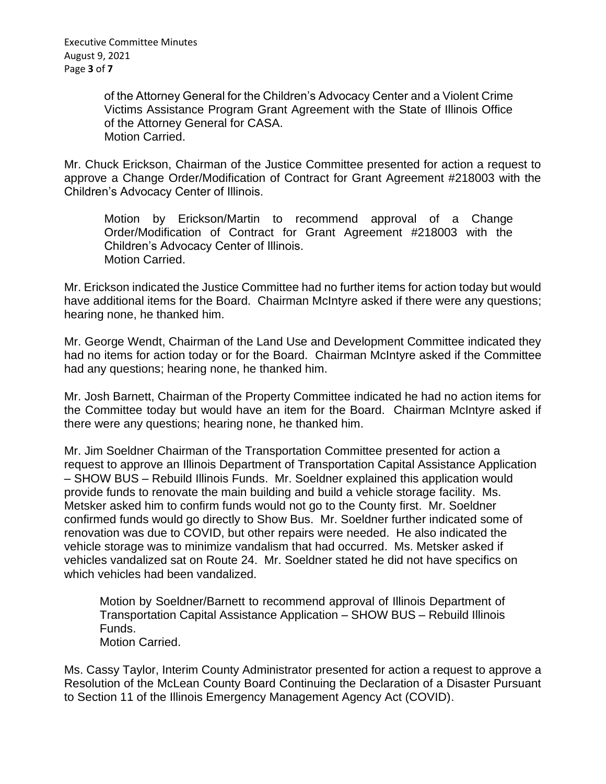of the Attorney General for the Children's Advocacy Center and a Violent Crime Victims Assistance Program Grant Agreement with the State of Illinois Office of the Attorney General for CASA. Motion Carried.

Mr. Chuck Erickson, Chairman of the Justice Committee presented for action a request to approve a Change Order/Modification of Contract for Grant Agreement #218003 with the Children's Advocacy Center of Illinois.

Motion by Erickson/Martin to recommend approval of a Change Order/Modification of Contract for Grant Agreement #218003 with the Children's Advocacy Center of Illinois. Motion Carried.

Mr. Erickson indicated the Justice Committee had no further items for action today but would have additional items for the Board. Chairman McIntyre asked if there were any questions; hearing none, he thanked him.

Mr. George Wendt, Chairman of the Land Use and Development Committee indicated they had no items for action today or for the Board. Chairman McIntyre asked if the Committee had any questions; hearing none, he thanked him.

Mr. Josh Barnett, Chairman of the Property Committee indicated he had no action items for the Committee today but would have an item for the Board. Chairman McIntyre asked if there were any questions; hearing none, he thanked him.

Mr. Jim Soeldner Chairman of the Transportation Committee presented for action a request to approve an Illinois Department of Transportation Capital Assistance Application – SHOW BUS – Rebuild Illinois Funds. Mr. Soeldner explained this application would provide funds to renovate the main building and build a vehicle storage facility. Ms. Metsker asked him to confirm funds would not go to the County first. Mr. Soeldner confirmed funds would go directly to Show Bus. Mr. Soeldner further indicated some of renovation was due to COVID, but other repairs were needed. He also indicated the vehicle storage was to minimize vandalism that had occurred. Ms. Metsker asked if vehicles vandalized sat on Route 24. Mr. Soeldner stated he did not have specifics on which vehicles had been vandalized.

Motion by Soeldner/Barnett to recommend approval of Illinois Department of Transportation Capital Assistance Application – SHOW BUS – Rebuild Illinois Funds. Motion Carried.

Ms. Cassy Taylor, Interim County Administrator presented for action a request to approve a Resolution of the McLean County Board Continuing the Declaration of a Disaster Pursuant to Section 11 of the Illinois Emergency Management Agency Act (COVID).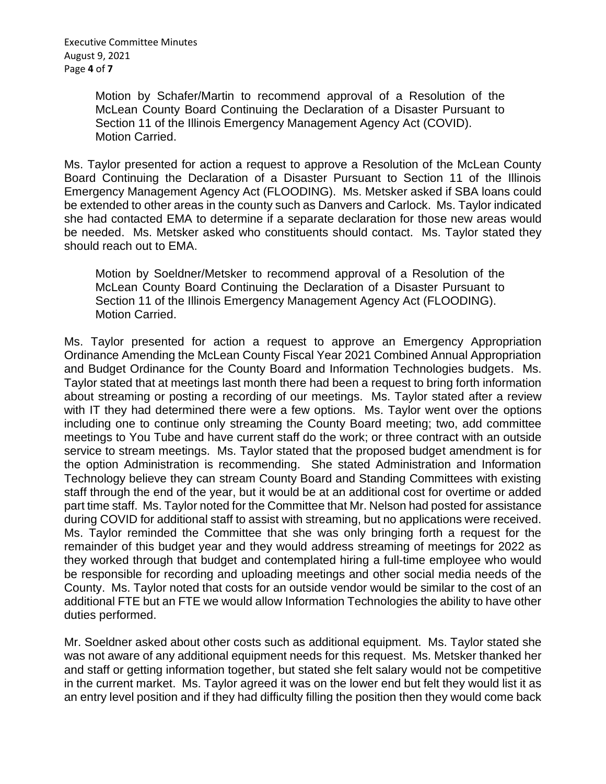Motion by Schafer/Martin to recommend approval of a Resolution of the McLean County Board Continuing the Declaration of a Disaster Pursuant to Section 11 of the Illinois Emergency Management Agency Act (COVID). Motion Carried.

Ms. Taylor presented for action a request to approve a Resolution of the McLean County Board Continuing the Declaration of a Disaster Pursuant to Section 11 of the Illinois Emergency Management Agency Act (FLOODING). Ms. Metsker asked if SBA loans could be extended to other areas in the county such as Danvers and Carlock. Ms. Taylor indicated she had contacted EMA to determine if a separate declaration for those new areas would be needed. Ms. Metsker asked who constituents should contact. Ms. Taylor stated they should reach out to EMA.

Motion by Soeldner/Metsker to recommend approval of a Resolution of the McLean County Board Continuing the Declaration of a Disaster Pursuant to Section 11 of the Illinois Emergency Management Agency Act (FLOODING). Motion Carried.

Ms. Taylor presented for action a request to approve an Emergency Appropriation Ordinance Amending the McLean County Fiscal Year 2021 Combined Annual Appropriation and Budget Ordinance for the County Board and Information Technologies budgets. Ms. Taylor stated that at meetings last month there had been a request to bring forth information about streaming or posting a recording of our meetings. Ms. Taylor stated after a review with IT they had determined there were a few options. Ms. Taylor went over the options including one to continue only streaming the County Board meeting; two, add committee meetings to You Tube and have current staff do the work; or three contract with an outside service to stream meetings. Ms. Taylor stated that the proposed budget amendment is for the option Administration is recommending. She stated Administration and Information Technology believe they can stream County Board and Standing Committees with existing staff through the end of the year, but it would be at an additional cost for overtime or added part time staff. Ms. Taylor noted for the Committee that Mr. Nelson had posted for assistance during COVID for additional staff to assist with streaming, but no applications were received. Ms. Taylor reminded the Committee that she was only bringing forth a request for the remainder of this budget year and they would address streaming of meetings for 2022 as they worked through that budget and contemplated hiring a full-time employee who would be responsible for recording and uploading meetings and other social media needs of the County. Ms. Taylor noted that costs for an outside vendor would be similar to the cost of an additional FTE but an FTE we would allow Information Technologies the ability to have other duties performed.

Mr. Soeldner asked about other costs such as additional equipment. Ms. Taylor stated she was not aware of any additional equipment needs for this request. Ms. Metsker thanked her and staff or getting information together, but stated she felt salary would not be competitive in the current market. Ms. Taylor agreed it was on the lower end but felt they would list it as an entry level position and if they had difficulty filling the position then they would come back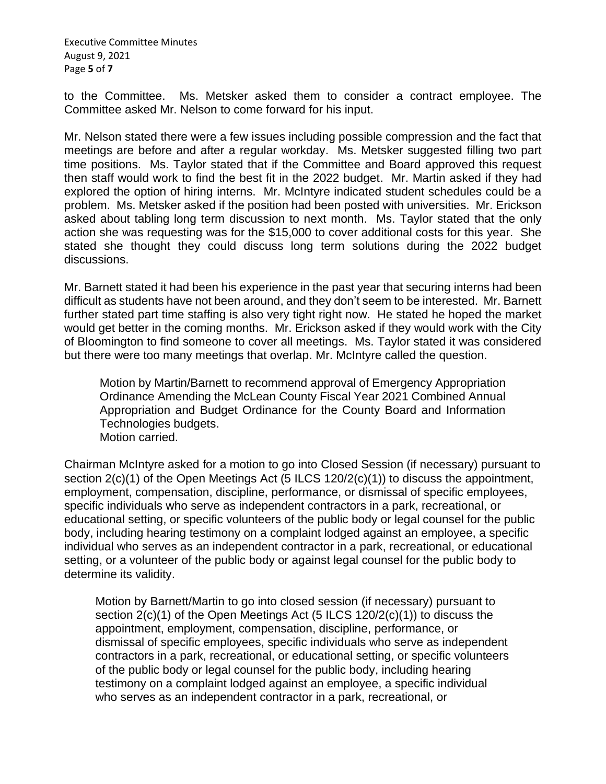Executive Committee Minutes August 9, 2021 Page **5** of **7**

to the Committee. Ms. Metsker asked them to consider a contract employee. The Committee asked Mr. Nelson to come forward for his input.

Mr. Nelson stated there were a few issues including possible compression and the fact that meetings are before and after a regular workday. Ms. Metsker suggested filling two part time positions. Ms. Taylor stated that if the Committee and Board approved this request then staff would work to find the best fit in the 2022 budget. Mr. Martin asked if they had explored the option of hiring interns. Mr. McIntyre indicated student schedules could be a problem. Ms. Metsker asked if the position had been posted with universities. Mr. Erickson asked about tabling long term discussion to next month. Ms. Taylor stated that the only action she was requesting was for the \$15,000 to cover additional costs for this year. She stated she thought they could discuss long term solutions during the 2022 budget discussions.

Mr. Barnett stated it had been his experience in the past year that securing interns had been difficult as students have not been around, and they don't seem to be interested. Mr. Barnett further stated part time staffing is also very tight right now. He stated he hoped the market would get better in the coming months. Mr. Erickson asked if they would work with the City of Bloomington to find someone to cover all meetings. Ms. Taylor stated it was considered but there were too many meetings that overlap. Mr. McIntyre called the question.

Motion by Martin/Barnett to recommend approval of Emergency Appropriation Ordinance Amending the McLean County Fiscal Year 2021 Combined Annual Appropriation and Budget Ordinance for the County Board and Information Technologies budgets. Motion carried.

Chairman McIntyre asked for a motion to go into Closed Session (if necessary) pursuant to section 2(c)(1) of the Open Meetings Act (5 ILCS 120/2(c)(1)) to discuss the appointment, employment, compensation, discipline, performance, or dismissal of specific employees, specific individuals who serve as independent contractors in a park, recreational, or educational setting, or specific volunteers of the public body or legal counsel for the public body, including hearing testimony on a complaint lodged against an employee, a specific individual who serves as an independent contractor in a park, recreational, or educational setting, or a volunteer of the public body or against legal counsel for the public body to determine its validity.

Motion by Barnett/Martin to go into closed session (if necessary) pursuant to section 2(c)(1) of the Open Meetings Act (5 ILCS 120/2(c)(1)) to discuss the appointment, employment, compensation, discipline, performance, or dismissal of specific employees, specific individuals who serve as independent contractors in a park, recreational, or educational setting, or specific volunteers of the public body or legal counsel for the public body, including hearing testimony on a complaint lodged against an employee, a specific individual who serves as an independent contractor in a park, recreational, or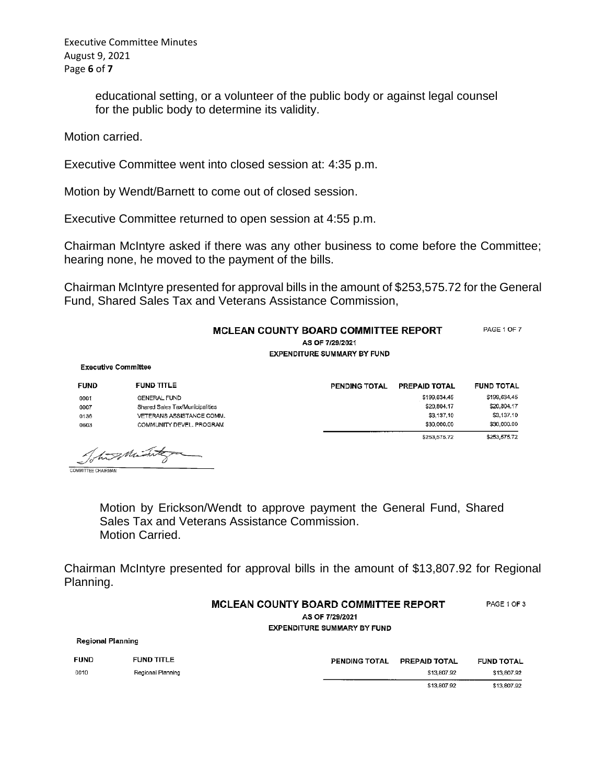Executive Committee Minutes August 9, 2021 Page **6** of **7**

> educational setting, or a volunteer of the public body or against legal counsel for the public body to determine its validity.

Motion carried.

Executive Committee went into closed session at: 4:35 p.m.

Motion by Wendt/Barnett to come out of closed session.

Executive Committee returned to open session at 4:55 p.m.

Chairman McIntyre asked if there was any other business to come before the Committee; hearing none, he moved to the payment of the bills.

Chairman McIntyre presented for approval bills in the amount of \$253,575.72 for the General Fund, Shared Sales Tax and Veterans Assistance Commission,

## MCLEAN COUNTY BOARD COMMITTEE REPORT

PAGE 1 OF 7

AS OF 7/29/2021 **EXPENDITURE SUMMARY BY FUND** 

**Executive Committee** 

**Regional Planning** 

| <b>FUND</b>               | <b>FUND TITLE</b>               | PENDING TOTAL | PREPAID TOTAL | <b>FUND TOTAL</b> |
|---------------------------|---------------------------------|---------------|---------------|-------------------|
| 0001                      | <b>GENERAL FUND</b>             |               | \$199,634,45  | \$199,634.45      |
| 0007                      | Shared Sales Tax/Municipalities |               | \$20,804.17   | \$20,804.17       |
| 0136                      | VETERANS ASSISTANCE COMM.       |               | \$3,137.10    | \$3,137.10        |
| 0603                      | COMMUNITY DEVEL. PROGRAM        |               | \$30,000.00   | \$30,000.00       |
|                           |                                 |               | \$253,575.72  | \$253,575.72      |
| <b>COMMITTEE CHAIRMAN</b> | Total Minter                    |               |               |                   |

Motion by Erickson/Wendt to approve payment the General Fund, Shared Sales Tax and Veterans Assistance Commission. Motion Carried.

Chairman McIntyre presented for approval bills in the amount of \$13,807.92 for Regional Planning.

| <b>MCLEAN COUNTY BOARD COMMITTEE REPORT</b> | PAGE 1 OF 3 |
|---------------------------------------------|-------------|
| AS OF 7/29/2021                             |             |

**EXPENDITURE SUMMARY BY FUND** 

| <b>FUND</b> | <b>FUND TITLE</b> | <b>PENDING TOTAL</b> | <b>PREPAID TOTAL</b> | <b>FUND TOTAL</b> |
|-------------|-------------------|----------------------|----------------------|-------------------|
| 0010        | Regional Planning |                      | \$13,807.92          | \$13,807,92       |
|             |                   |                      | \$13,807.92          | \$13,807.92       |